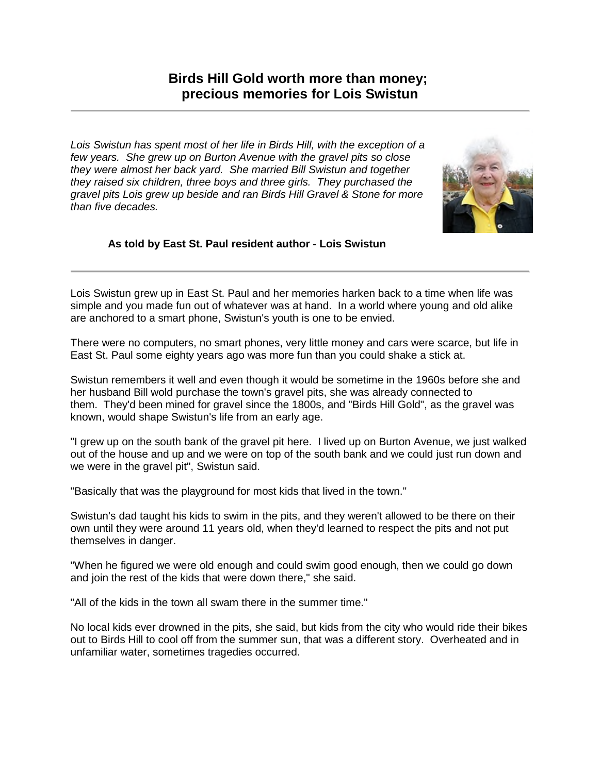*Lois Swistun has spent most of her life in Birds Hill, with the exception of a few years. She grew up on Burton Avenue with the gravel pits so close they were almost her back yard. She married Bill Swistun and together they raised six children, three boys and three girls. They purchased the gravel pits Lois grew up beside and ran Birds Hill Gravel & Stone for more than five decades.*



## **As told by East St. Paul resident author - Lois Swistun**

Lois Swistun grew up in East St. Paul and her memories harken back to a time when life was simple and you made fun out of whatever was at hand. In a world where young and old alike are anchored to a smart phone, Swistun's youth is one to be envied.

There were no computers, no smart phones, very little money and cars were scarce, but life in East St. Paul some eighty years ago was more fun than you could shake a stick at.

Swistun remembers it well and even though it would be sometime in the 1960s before she and her husband Bill wold purchase the town's gravel pits, she was already connected to them. They'd been mined for gravel since the 1800s, and "Birds Hill Gold", as the gravel was known, would shape Swistun's life from an early age.

"I grew up on the south bank of the gravel pit here. I lived up on Burton Avenue, we just walked out of the house and up and we were on top of the south bank and we could just run down and we were in the gravel pit", Swistun said.

"Basically that was the playground for most kids that lived in the town."

Swistun's dad taught his kids to swim in the pits, and they weren't allowed to be there on their own until they were around 11 years old, when they'd learned to respect the pits and not put themselves in danger.

"When he figured we were old enough and could swim good enough, then we could go down and join the rest of the kids that were down there," she said.

"All of the kids in the town all swam there in the summer time."

No local kids ever drowned in the pits, she said, but kids from the city who would ride their bikes out to Birds Hill to cool off from the summer sun, that was a different story. Overheated and in unfamiliar water, sometimes tragedies occurred.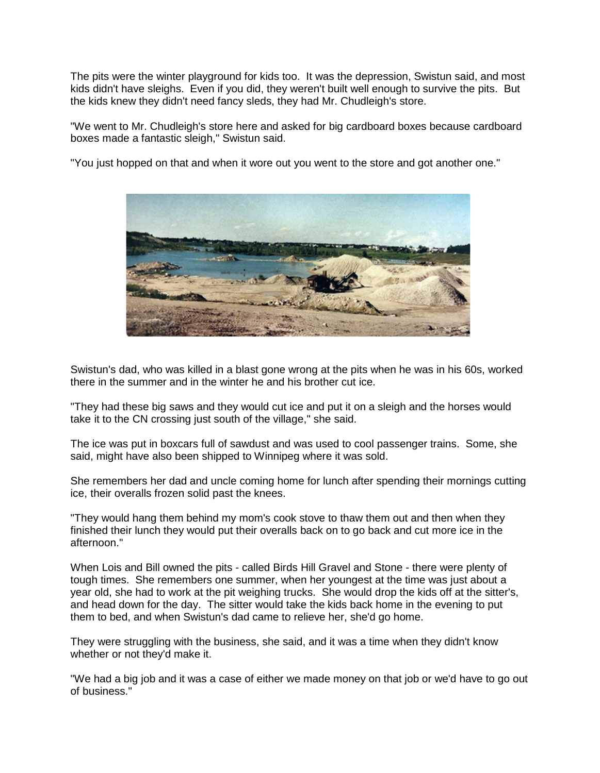The pits were the winter playground for kids too. It was the depression, Swistun said, and most kids didn't have sleighs. Even if you did, they weren't built well enough to survive the pits. But the kids knew they didn't need fancy sleds, they had Mr. Chudleigh's store.

"We went to Mr. Chudleigh's store here and asked for big cardboard boxes because cardboard boxes made a fantastic sleigh," Swistun said.

"You just hopped on that and when it wore out you went to the store and got another one."



Swistun's dad, who was killed in a blast gone wrong at the pits when he was in his 60s, worked there in the summer and in the winter he and his brother cut ice.

"They had these big saws and they would cut ice and put it on a sleigh and the horses would take it to the CN crossing just south of the village." she said.

The ice was put in boxcars full of sawdust and was used to cool passenger trains. Some, she said, might have also been shipped to Winnipeg where it was sold.

She remembers her dad and uncle coming home for lunch after spending their mornings cutting ice, their overalls frozen solid past the knees.

"They would hang them behind my mom's cook stove to thaw them out and then when they finished their lunch they would put their overalls back on to go back and cut more ice in the afternoon."

When Lois and Bill owned the pits - called Birds Hill Gravel and Stone - there were plenty of tough times. She remembers one summer, when her youngest at the time was just about a year old, she had to work at the pit weighing trucks. She would drop the kids off at the sitter's, and head down for the day. The sitter would take the kids back home in the evening to put them to bed, and when Swistun's dad came to relieve her, she'd go home.

They were struggling with the business, she said, and it was a time when they didn't know whether or not they'd make it.

"We had a big job and it was a case of either we made money on that job or we'd have to go out of business."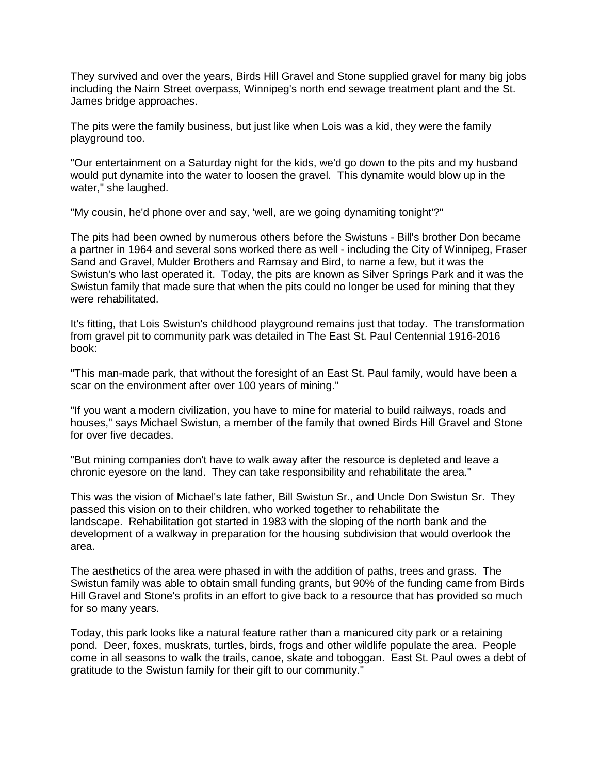They survived and over the years, Birds Hill Gravel and Stone supplied gravel for many big jobs including the Nairn Street overpass, Winnipeg's north end sewage treatment plant and the St. James bridge approaches.

The pits were the family business, but just like when Lois was a kid, they were the family playground too.

"Our entertainment on a Saturday night for the kids, we'd go down to the pits and my husband would put dynamite into the water to loosen the gravel. This dynamite would blow up in the water," she laughed.

"My cousin, he'd phone over and say, 'well, are we going dynamiting tonight'?"

The pits had been owned by numerous others before the Swistuns - Bill's brother Don became a partner in 1964 and several sons worked there as well - including the City of Winnipeg, Fraser Sand and Gravel, Mulder Brothers and Ramsay and Bird, to name a few, but it was the Swistun's who last operated it. Today, the pits are known as Silver Springs Park and it was the Swistun family that made sure that when the pits could no longer be used for mining that they were rehabilitated.

It's fitting, that Lois Swistun's childhood playground remains just that today. The transformation from gravel pit to community park was detailed in The East St. Paul Centennial 1916-2016 book:

"This man-made park, that without the foresight of an East St. Paul family, would have been a scar on the environment after over 100 years of mining."

"If you want a modern civilization, you have to mine for material to build railways, roads and houses," says Michael Swistun, a member of the family that owned Birds Hill Gravel and Stone for over five decades.

"But mining companies don't have to walk away after the resource is depleted and leave a chronic eyesore on the land. They can take responsibility and rehabilitate the area."

This was the vision of Michael's late father, Bill Swistun Sr., and Uncle Don Swistun Sr. They passed this vision on to their children, who worked together to rehabilitate the landscape. Rehabilitation got started in 1983 with the sloping of the north bank and the development of a walkway in preparation for the housing subdivision that would overlook the area.

The aesthetics of the area were phased in with the addition of paths, trees and grass. The Swistun family was able to obtain small funding grants, but 90% of the funding came from Birds Hill Gravel and Stone's profits in an effort to give back to a resource that has provided so much for so many years.

Today, this park looks like a natural feature rather than a manicured city park or a retaining pond. Deer, foxes, muskrats, turtles, birds, frogs and other wildlife populate the area. People come in all seasons to walk the trails, canoe, skate and toboggan. East St. Paul owes a debt of gratitude to the Swistun family for their gift to our community."